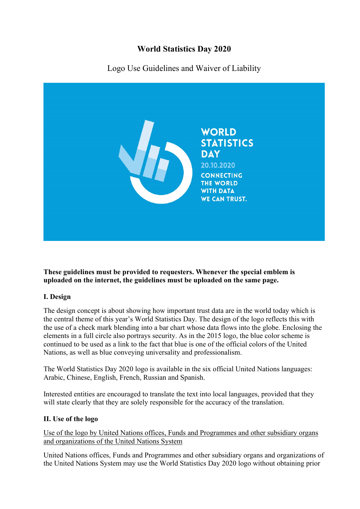# **World Statistics Day 2020**



Logo Use Guidelines and Waiver of Liability

**These guidelines must be provided to requesters. Whenever the special emblem is uploaded on the internet, the guidelines must be uploaded on the same page.** 

## **I. Design**

The design concept is about showing how important trust data are in the world today which is the central theme of this year's World Statistics Day. The design of the logo reflects this with the use of a check mark blending into a bar chart whose data flows into the globe. Enclosing the elements in a full circle also portrays security. As in the 2015 logo, the blue color scheme is continued to be used as a link to the fact that blue is one of the official colors of the United Nations, as well as blue conveying universality and professionalism.

The World Statistics Day 2020 logo is available in the six official United Nations languages: Arabic, Chinese, English, French, Russian and Spanish.

Interested entities are encouraged to translate the text into local languages, provided that they will state clearly that they are solely responsible for the accuracy of the translation.

## **II. Use of the logo**

Use of the logo by United Nations offices, Funds and Programmes and other subsidiary organs and organizations of the United Nations System

United Nations offices, Funds and Programmes and other subsidiary organs and organizations of the United Nations System may use the World Statistics Day 2020 logo without obtaining prior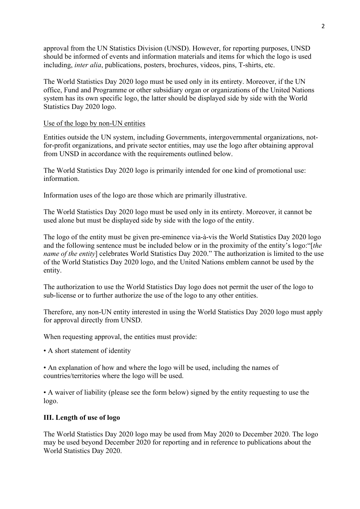approval from the UN Statistics Division (UNSD). However, for reporting purposes, UNSD should be informed of events and information materials and items for which the logo is used including, *inter alia*, publications, posters, brochures, videos, pins, T-shirts, etc.

The World Statistics Day 2020 logo must be used only in its entirety. Moreover, if the UN office, Fund and Programme or other subsidiary organ or organizations of the United Nations system has its own specific logo, the latter should be displayed side by side with the World Statistics Day 2020 logo.

#### Use of the logo by non-UN entities

Entities outside the UN system, including Governments, intergovernmental organizations, notfor-profit organizations, and private sector entities, may use the logo after obtaining approval from UNSD in accordance with the requirements outlined below.

The World Statistics Day 2020 logo is primarily intended for one kind of promotional use: information.

Information uses of the logo are those which are primarily illustrative.

The World Statistics Day 2020 logo must be used only in its entirety. Moreover, it cannot be used alone but must be displayed side by side with the logo of the entity.

The logo of the entity must be given pre-eminence via-à-vis the World Statistics Day 2020 logo and the following sentence must be included below or in the proximity of the entity's logo:"[*the name of the entity*] celebrates World Statistics Day 2020." The authorization is limited to the use of the World Statistics Day 2020 logo, and the United Nations emblem cannot be used by the entity.

The authorization to use the World Statistics Day logo does not permit the user of the logo to sub-license or to further authorize the use of the logo to any other entities.

Therefore, any non-UN entity interested in using the World Statistics Day 2020 logo must apply for approval directly from UNSD.

When requesting approval, the entities must provide:

• A short statement of identity

• An explanation of how and where the logo will be used, including the names of countries/territories where the logo will be used.

• A waiver of liability (please see the form below) signed by the entity requesting to use the logo.

#### **III. Length of use of logo**

The World Statistics Day 2020 logo may be used from May 2020 to December 2020. The logo may be used beyond December 2020 for reporting and in reference to publications about the World Statistics Day 2020.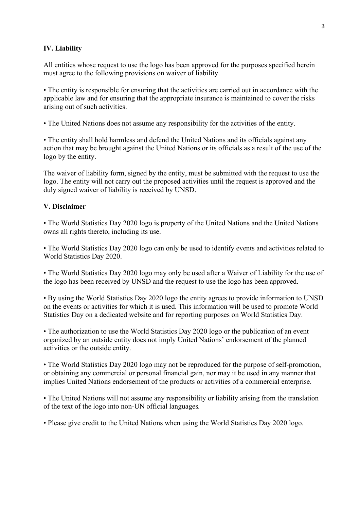#### **IV. Liability**

All entities whose request to use the logo has been approved for the purposes specified herein must agree to the following provisions on waiver of liability.

• The entity is responsible for ensuring that the activities are carried out in accordance with the applicable law and for ensuring that the appropriate insurance is maintained to cover the risks arising out of such activities.

• The United Nations does not assume any responsibility for the activities of the entity.

• The entity shall hold harmless and defend the United Nations and its officials against any action that may be brought against the United Nations or its officials as a result of the use of the logo by the entity.

The waiver of liability form, signed by the entity, must be submitted with the request to use the logo. The entity will not carry out the proposed activities until the request is approved and the duly signed waiver of liability is received by UNSD.

#### **V. Disclaimer**

• The World Statistics Day 2020 logo is property of the United Nations and the United Nations owns all rights thereto, including its use.

• The World Statistics Day 2020 logo can only be used to identify events and activities related to World Statistics Day 2020.

• The World Statistics Day 2020 logo may only be used after a Waiver of Liability for the use of the logo has been received by UNSD and the request to use the logo has been approved.

• By using the World Statistics Day 2020 logo the entity agrees to provide information to UNSD on the events or activities for which it is used. This information will be used to promote World Statistics Day on a dedicated website and for reporting purposes on World Statistics Day.

• The authorization to use the World Statistics Day 2020 logo or the publication of an event organized by an outside entity does not imply United Nations' endorsement of the planned activities or the outside entity.

• The World Statistics Day 2020 logo may not be reproduced for the purpose of self-promotion, or obtaining any commercial or personal financial gain, nor may it be used in any manner that implies United Nations endorsement of the products or activities of a commercial enterprise.

• The United Nations will not assume any responsibility or liability arising from the translation of the text of the logo into non-UN official languages*.* 

• Please give credit to the United Nations when using the World Statistics Day 2020 logo.